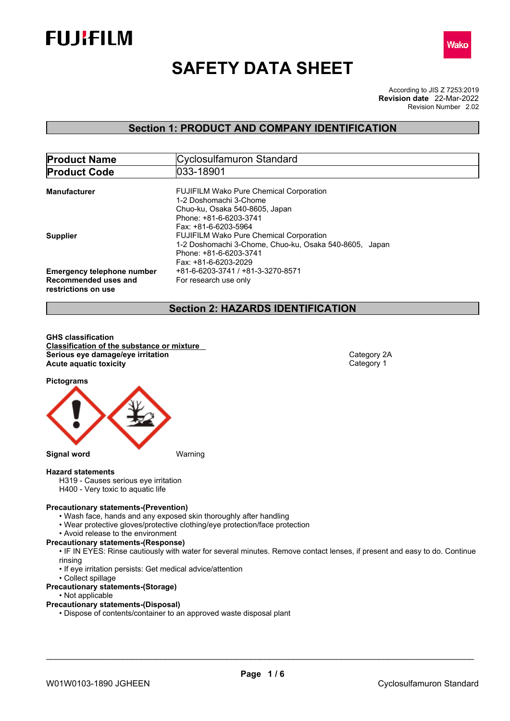



# **SAFETY DATA SHEET**

According to JIS Z 7253:2019 Revision Number 2.02 **Revision date** 22-Mar-2022

## **Section 1: PRODUCT AND COMPANY IDENTIFICATION**

| <b>Product Name</b>                                                              | Cyclosulfamuron Standard                                                                                                                                                             |  |  |  |
|----------------------------------------------------------------------------------|--------------------------------------------------------------------------------------------------------------------------------------------------------------------------------------|--|--|--|
| <b>Product Code</b>                                                              | 1033-18901                                                                                                                                                                           |  |  |  |
| <b>Manufacturer</b>                                                              | <b>FUJIFILM Wako Pure Chemical Corporation</b><br>1-2 Doshomachi 3-Chome<br>Chuo-ku, Osaka 540-8605, Japan                                                                           |  |  |  |
| <b>Supplier</b>                                                                  | Phone: +81-6-6203-3741<br>Fax: +81-6-6203-5964<br><b>FUJIFILM Wako Pure Chemical Corporation</b><br>1-2 Doshomachi 3-Chome, Chuo-ku, Osaka 540-8605, Japan<br>Phone: +81-6-6203-3741 |  |  |  |
| <b>Emergency telephone number</b><br>Recommended uses and<br>restrictions on use | Fax: +81-6-6203-2029<br>+81-6-6203-3741 / +81-3-3270-8571<br>For research use only                                                                                                   |  |  |  |

## **Section 2: HAZARDS IDENTIFICATION**

**GHS classification Classification of the substance or mixture Serious eye damage/eye irritation**<br> **Acute aquatic toxicity**<br> **Acute aquatic toxicity Acute aquatic toxicity** 

**Pictograms**



## **Hazard statements**

H319 - Causes serious eye irritation

H400 - Very toxic to aquatic life

### **Precautionary statements-(Prevention)**

- Wash face, hands and any exposed skin thoroughly after handling
- Wear protective gloves/protective clothing/eye protection/face protection
- Avoid release to the environment

#### **Precautionary statements-(Response)**

- IF IN EYES: Rinse cautiously with water for several minutes. Remove contact lenses, if present and easy to do. Continue rinsing
- If eye irritation persists: Get medical advice/attention
- Collect spillage

#### **Precautionary statements-(Storage)**

• Not applicable

#### **Precautionary statements-(Disposal)**

• Dispose of contents/container to an approved waste disposal plant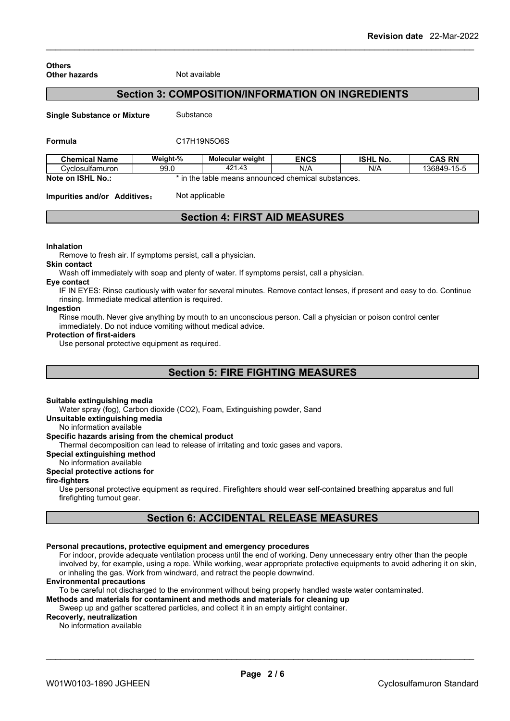#### **Others Other hazards** Not available

## **Section 3: COMPOSITION/INFORMATION ON INGREDIENTS**

**Single Substance or Mixture** Substance

#### **Formula** C17H19N5O6S

| <b>Chemical Name</b>                | Weight-%                                                    | Molecular weight | <b>ENCS</b> | <b>ISHL</b><br>. No. | <b>CAS RN</b>            |
|-------------------------------------|-------------------------------------------------------------|------------------|-------------|----------------------|--------------------------|
| انت ∨closulfamuron                  | 99.0                                                        | 421.43           | N/A         | N/A                  | 15E<br>136849-<br>- 15-5 |
| Note on<br><b>ISHL</b><br><b>No</b> | ; announced chemical substances.<br>the<br>، means<br>table |                  |             |                      |                          |

**Impurities and/or Additives:** Not applicable

## **Section 4: FIRST AID MEASURES**

#### **Inhalation**

Remove to fresh air. If symptoms persist, call a physician.

Wash off immediately with soap and plenty of water. If symptoms persist, call a physician.

#### **Eye contact**

**Skin contact**

IF IN EYES: Rinse cautiously with water for several minutes. Remove contact lenses, if present and easy to do. Continue rinsing. Immediate medical attention is required.

#### **Ingestion**

Rinse mouth. Never give anything by mouth to an unconscious person. Call a physician or poison control center immediately. Do not induce vomiting without medical advice.

#### **Protection of first-aiders**

Use personal protective equipment as required.

## **Section 5: FIRE FIGHTING MEASURES**

#### **Suitable extinguishing media**

Water spray (fog), Carbon dioxide (CO2), Foam, Extinguishing powder, Sand

**Unsuitable extinguishing media**

No information available

#### **Specific hazards arising from the chemical product**

Thermal decomposition can lead to release of irritating and toxic gases and vapors.

**Special extinguishing method**

#### No information available

#### **Special protective actions for**

**fire-fighters**

Use personal protective equipment as required.Firefighters should wear self-contained breathing apparatus and full firefighting turnout gear.

## **Section 6: ACCIDENTAL RELEASE MEASURES**

#### **Personal precautions, protective equipment and emergency procedures**

For indoor, provide adequate ventilation process until the end of working. Deny unnecessary entry other than the people involved by, for example, using a rope. While working, wear appropriate protective equipments to avoid adhering it on skin, or inhaling the gas. Work from windward, and retract the people downwind.

#### **Environmental precautions**

To be careful not discharged to the environment without being properly handled waste water contaminated.

**Methods and materials for contaminent and methods and materials for cleaning up**

Sweep up and gather scattered particles, and collect it in an empty airtight container.

### **Recoverly, neutralization**

No information available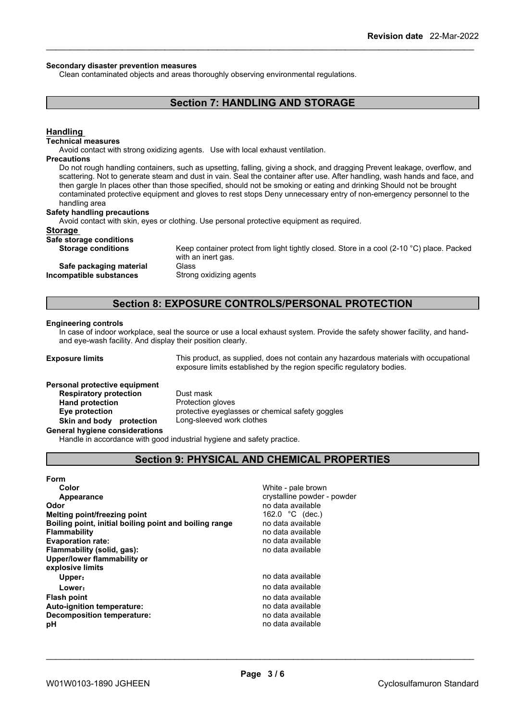#### **Secondary disaster prevention measures**

Clean contaminated objects and areas thoroughly observing environmental regulations.

## **Section 7: HANDLING AND STORAGE**

#### **Handling**

#### **Technical measures**

Avoid contact with strong oxidizing agents. Use with local exhaust ventilation.

#### **Precautions**

Do not rough handling containers, such as upsetting, falling, giving a shock, and dragging Prevent leakage, overflow, and scattering. Not to generate steam and dust in vain. Seal the container after use. After handling, wash hands and face, and then gargle In places other than those specified, should not be smoking or eating and drinking Should not be brought contaminated protective equipment and gloves to rest stops Deny unnecessary entry of non-emergency personnel to the handling area

#### **Safety handling precautions**

Avoid contact with skin, eyes or clothing. Use personal protective equipment as required.

#### **Storage**

#### **Safe storage conditions**

**Safe packaging material** Glass<br>**ompatible substances** Strong oxidizing agents **Incompatible** substances

**Storage conditions** Keep container protect from light tightly closed. Store in a cool (2-10 °C) place. Packed with an inert gas.

## **Section 8: EXPOSURE CONTROLS/PERSONAL PROTECTION**

#### **Engineering controls**

In case of indoor workplace, seal the source or use a local exhaust system. Provide the safety shower facility, and handand eye-wash facility. And display their position clearly.

**Exposure limits** This product, as supplied, does not contain any hazardous materials with occupational exposure limits established by the region specific regulatory bodies.

## **Personal protective equipment Respiratory protection** Dust mask **Hand protection** Protection gloves

**Eye protection** protective eyeglasses or chemical safety goggles **Skin and body protection** Long-sleeved work clothes

#### **General hygiene considerations**

Handle in accordance with good industrial hygiene and safety practice.

## **Section 9: PHYSICAL AND CHEMICAL PROPERTIES**

#### **Form**

| crystalline powder - powder<br>Appearance<br>no data available<br>Melting point/freezing point<br>162.0 $^{\circ}$ C (dec.)<br>no data available<br>Boiling point, initial boiling point and boiling range<br>no data available<br>no data available<br>no data available<br>no data available<br>Upper:<br>no data available<br>Lower:<br>no data available<br>no data available<br>no data available<br>no data available | Color                             | White - pale brown |
|-----------------------------------------------------------------------------------------------------------------------------------------------------------------------------------------------------------------------------------------------------------------------------------------------------------------------------------------------------------------------------------------------------------------------------|-----------------------------------|--------------------|
|                                                                                                                                                                                                                                                                                                                                                                                                                             |                                   |                    |
|                                                                                                                                                                                                                                                                                                                                                                                                                             | Odor                              |                    |
|                                                                                                                                                                                                                                                                                                                                                                                                                             |                                   |                    |
|                                                                                                                                                                                                                                                                                                                                                                                                                             |                                   |                    |
|                                                                                                                                                                                                                                                                                                                                                                                                                             | <b>Flammability</b>               |                    |
|                                                                                                                                                                                                                                                                                                                                                                                                                             | <b>Evaporation rate:</b>          |                    |
|                                                                                                                                                                                                                                                                                                                                                                                                                             | Flammability (solid, gas):        |                    |
|                                                                                                                                                                                                                                                                                                                                                                                                                             | Upper/lower flammability or       |                    |
|                                                                                                                                                                                                                                                                                                                                                                                                                             | explosive limits                  |                    |
|                                                                                                                                                                                                                                                                                                                                                                                                                             |                                   |                    |
|                                                                                                                                                                                                                                                                                                                                                                                                                             |                                   |                    |
|                                                                                                                                                                                                                                                                                                                                                                                                                             | <b>Flash point</b>                |                    |
|                                                                                                                                                                                                                                                                                                                                                                                                                             | <b>Auto-ignition temperature:</b> |                    |
|                                                                                                                                                                                                                                                                                                                                                                                                                             | <b>Decomposition temperature:</b> |                    |
|                                                                                                                                                                                                                                                                                                                                                                                                                             | рH                                |                    |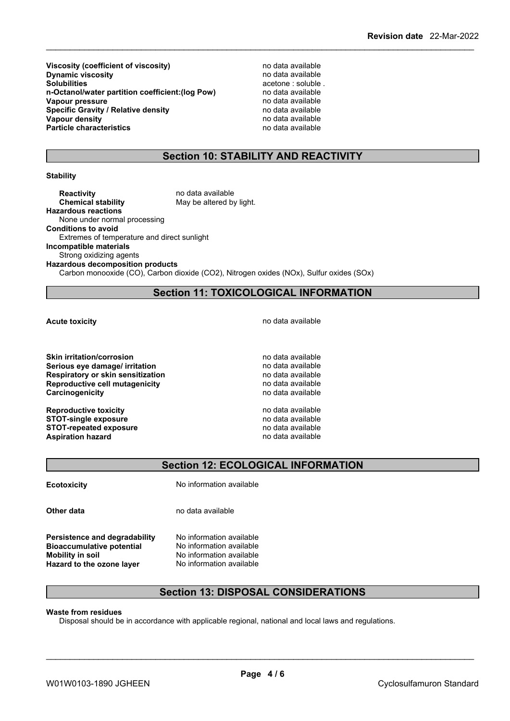**Viscosity (coefficient of viscosity)** no data available<br> **Dynamic viscosity no data available Dynamic** viscosity **Solubilities** acetone : soluble .<br> **n-Octanol/water partition coefficient: (log Pow)** and available the **n-Octanol/water partition coefficient: (log Pow) n-Octanol/water partition coefficient:(log Pow)** no data available **Vapour** pressure **Specific Gravity / Relative density and the control of the Vapour density Vapour density Vapour density Vapour density**<br> **Particle characteristics**<br> **Particle characteristics**<br> **Particle characteristics Particle characteristics** 

## **Section 10: STABILITY AND REACTIVITY**

#### **Stability**

**Reactivity Reactivity Reactivity Reactivity Chemical stability no data available** May be altered by light. **Hazardous reactions** None under normal processing **Conditions to avoid** Extremes of temperature and direct sunlight **Incompatible materials** Strong oxidizing agents **Hazardous decomposition products** Carbon monooxide (CO), Carbon dioxide (CO2), Nitrogen oxides (NOx), Sulfur oxides (SOx)

**Section 11: TOXICOLOGICAL INFORMATION**

**Skin irritation/corrosion no data available Serious eye damage/ irritation example 10** and the no data available **Respiratory** or skin sensitization **no data available Reproductive cell mutagenicity**<br> **Carcinogenicity Carcinogenicity no data available Carcinogenicity** 

**Reproductive toxicity**<br> **Reproductive toxicity**<br> **STOT-single exposure**<br> **REPRODUCE STOT-single exposure**<br> **STOT-repeated exposure**<br> **STOT-repeated exposure**<br> **STOT-repeated exposure STOT-repeated exposure**<br> **Aspiration hazard**<br> **Aspiration hazard**<br> **Aspiration hazard Aspiration hazard** 

**Acute toxicity Acute toxicity house house house house house house house house hu** 

## **Section 12: ECOLOGICAL INFORMATION**

**Ecotoxicity No information available** 

**Persistence and degradability** No information available

**Other data** no data available

**Bioaccumulative potential** No information available **Mobility in soil** No information available **Hazard to the ozone layer** No information available

## **Section 13: DISPOSAL CONSIDERATIONS**

#### **Waste from residues**

Disposal should be in accordance with applicable regional, national and local laws and regulations.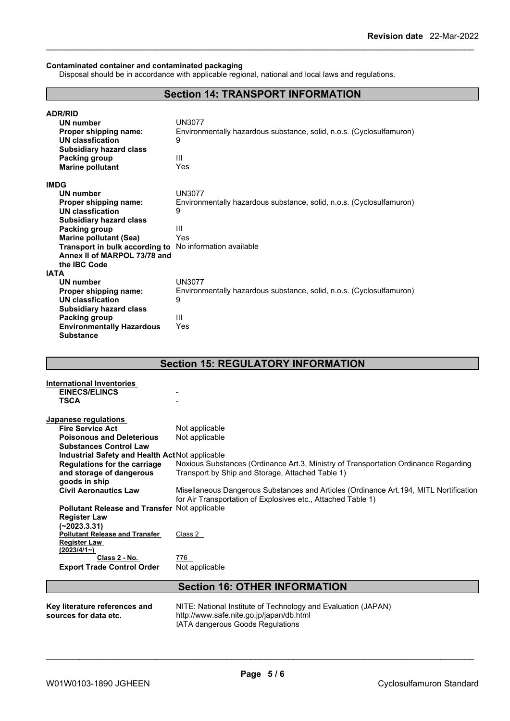#### **Contaminated container and contaminated packaging**

Disposal should be in accordance with applicable regional, national and local laws and regulations.

## **Section 14: TRANSPORT INFORMATION**

| <b>ADR/RID</b>                                                 |                                                                      |
|----------------------------------------------------------------|----------------------------------------------------------------------|
| <b>UN number</b>                                               | <b>UN3077</b>                                                        |
| Proper shipping name:                                          | Environmentally hazardous substance, solid, n.o.s. (Cyclosulfamuron) |
| UN classfication                                               | 9                                                                    |
| <b>Subsidiary hazard class</b>                                 |                                                                      |
| Packing group                                                  | Ш                                                                    |
| <b>Marine pollutant</b>                                        | Yes                                                                  |
| <b>IMDG</b>                                                    |                                                                      |
| <b>UN number</b>                                               | <b>UN3077</b>                                                        |
| Proper shipping name:                                          | Environmentally hazardous substance, solid, n.o.s. (Cyclosulfamuron) |
| UN classfication                                               | 9                                                                    |
| <b>Subsidiary hazard class</b>                                 |                                                                      |
| Packing group                                                  | Ш                                                                    |
| <b>Marine pollutant (Sea)</b>                                  | Yes                                                                  |
| <b>Transport in bulk according to</b> No information available |                                                                      |
| Annex II of MARPOL 73/78 and                                   |                                                                      |
| the <b>IBC</b> Code                                            |                                                                      |
| <b>IATA</b>                                                    |                                                                      |
| UN number                                                      | <b>UN3077</b>                                                        |
| Proper shipping name:                                          | Environmentally hazardous substance, solid, n.o.s. (Cyclosulfamuron) |
| UN classfication                                               | 9                                                                    |
| <b>Subsidiary hazard class</b>                                 |                                                                      |
| Packing group                                                  | Ш                                                                    |
| <b>Environmentally Hazardous</b>                               | Yes                                                                  |
| <b>Substance</b>                                               |                                                                      |

## **Section 15: REGULATORY INFORMATION**

| <b>International Inventories</b>                     |                                                                                        |  |  |  |
|------------------------------------------------------|----------------------------------------------------------------------------------------|--|--|--|
| <b>EINECS/ELINCS</b>                                 |                                                                                        |  |  |  |
| <b>TSCA</b>                                          |                                                                                        |  |  |  |
|                                                      |                                                                                        |  |  |  |
| Japanese regulations                                 |                                                                                        |  |  |  |
| <b>Fire Service Act</b>                              | Not applicable                                                                         |  |  |  |
| <b>Poisonous and Deleterious</b>                     | Not applicable                                                                         |  |  |  |
| <b>Substances Control Law</b>                        |                                                                                        |  |  |  |
| Industrial Safety and Health Act Not applicable      |                                                                                        |  |  |  |
| <b>Regulations for the carriage</b>                  | Noxious Substances (Ordinance Art.3, Ministry of Transportation Ordinance Regarding    |  |  |  |
| and storage of dangerous                             | Transport by Ship and Storage, Attached Table 1)                                       |  |  |  |
| goods in ship                                        |                                                                                        |  |  |  |
| <b>Civil Aeronautics Law</b>                         | Misellaneous Dangerous Substances and Articles (Ordinance Art. 194, MITL Nortification |  |  |  |
|                                                      | for Air Transportation of Explosives etc., Attached Table 1)                           |  |  |  |
| <b>Pollutant Release and Transfer Not applicable</b> |                                                                                        |  |  |  |
| <b>Register Law</b>                                  |                                                                                        |  |  |  |
| $(-2023.3.31)$                                       |                                                                                        |  |  |  |
| <b>Pollutant Release and Transfer</b>                | Class 2                                                                                |  |  |  |
| <b>Register Law</b>                                  |                                                                                        |  |  |  |
| (2023/4/1)                                           |                                                                                        |  |  |  |
| Class 2 - No.                                        | 776                                                                                    |  |  |  |
| <b>Export Trade Control Order</b>                    | Not applicable                                                                         |  |  |  |
|                                                      |                                                                                        |  |  |  |
| <b>Section 16: OTHER INFORMATION</b>                 |                                                                                        |  |  |  |
|                                                      |                                                                                        |  |  |  |
| Key literature references and                        | NITE: National Institute of Technology and Evaluation (JAPAN)                          |  |  |  |
| sources for data etc.                                | http://www.safe.nite.go.jp/japan/db.html                                               |  |  |  |

IATA dangerous Goods Regulations